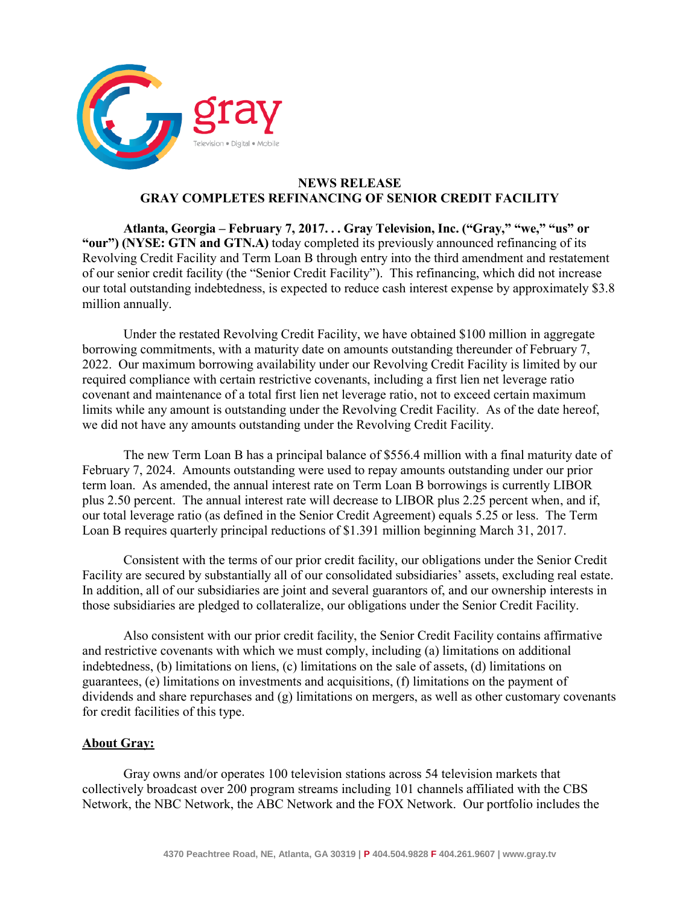

## **NEWS RELEASE GRAY COMPLETES REFINANCING OF SENIOR CREDIT FACILITY**

**Atlanta, Georgia – February 7, 2017. . . Gray Television, Inc. ("Gray," "we," "us" or "our") (NYSE: GTN and GTN.A)** today completed its previously announced refinancing of its Revolving Credit Facility and Term Loan B through entry into the third amendment and restatement of our senior credit facility (the "Senior Credit Facility"). This refinancing, which did not increase our total outstanding indebtedness, is expected to reduce cash interest expense by approximately \$3.8 million annually.

Under the restated Revolving Credit Facility, we have obtained \$100 million in aggregate borrowing commitments, with a maturity date on amounts outstanding thereunder of February 7, 2022. Our maximum borrowing availability under our Revolving Credit Facility is limited by our required compliance with certain restrictive covenants, including a first lien net leverage ratio covenant and maintenance of a total first lien net leverage ratio, not to exceed certain maximum limits while any amount is outstanding under the Revolving Credit Facility. As of the date hereof, we did not have any amounts outstanding under the Revolving Credit Facility.

The new Term Loan B has a principal balance of \$556.4 million with a final maturity date of February 7, 2024. Amounts outstanding were used to repay amounts outstanding under our prior term loan. As amended, the annual interest rate on Term Loan B borrowings is currently LIBOR plus 2.50 percent. The annual interest rate will decrease to LIBOR plus 2.25 percent when, and if, our total leverage ratio (as defined in the Senior Credit Agreement) equals 5.25 or less. The Term Loan B requires quarterly principal reductions of \$1.391 million beginning March 31, 2017.

Consistent with the terms of our prior credit facility, our obligations under the Senior Credit Facility are secured by substantially all of our consolidated subsidiaries' assets, excluding real estate. In addition, all of our subsidiaries are joint and several guarantors of, and our ownership interests in those subsidiaries are pledged to collateralize, our obligations under the Senior Credit Facility.

Also consistent with our prior credit facility, the Senior Credit Facility contains affirmative and restrictive covenants with which we must comply, including (a) limitations on additional indebtedness, (b) limitations on liens, (c) limitations on the sale of assets, (d) limitations on guarantees, (e) limitations on investments and acquisitions, (f) limitations on the payment of dividends and share repurchases and (g) limitations on mergers, as well as other customary covenants for credit facilities of this type.

## **About Gray:**

Gray owns and/or operates 100 television stations across 54 television markets that collectively broadcast over 200 program streams including 101 channels affiliated with the CBS Network, the NBC Network, the ABC Network and the FOX Network. Our portfolio includes the